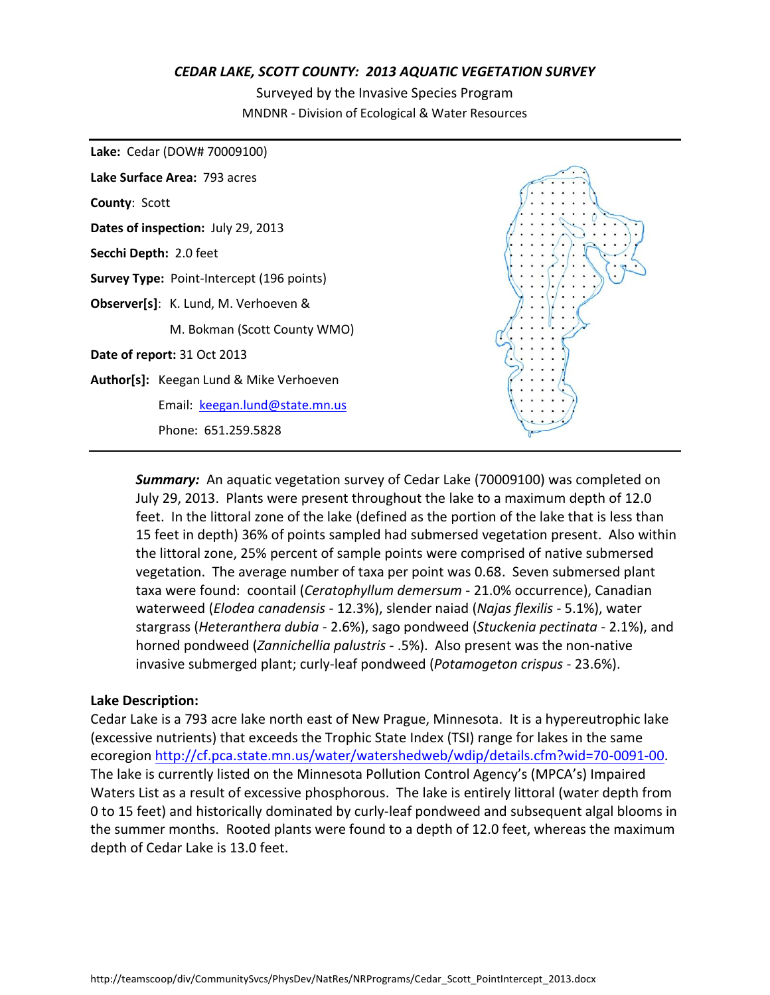#### *CEDAR LAKE, SCOTT COUNTY: 2013 AQUATIC VEGETATION SURVEY*

Surveyed by the Invasive Species Program MNDNR - Division of Ecological & Water Resources



*Summary:* An aquatic vegetation survey of Cedar Lake (70009100) was completed on July 29, 2013. Plants were present throughout the lake to a maximum depth of 12.0 feet. In the littoral zone of the lake (defined as the portion of the lake that is less than 15 feet in depth) 36% of points sampled had submersed vegetation present. Also within the littoral zone, 25% percent of sample points were comprised of native submersed vegetation. The average number of taxa per point was 0.68. Seven submersed plant taxa were found: coontail (*Ceratophyllum demersum* - 21.0% occurrence), Canadian waterweed (*Elodea canadensis* - 12.3%), slender naiad (*Najas flexilis* - 5.1%), water stargrass (*Heteranthera dubia* - 2.6%), sago pondweed (*Stuckenia pectinata* - 2.1%), and horned pondweed (*Zannichellia palustris* - .5%). Also present was the non-native invasive submerged plant; curly-leaf pondweed (*Potamogeton crispus* - 23.6%).

#### **Lake Description:**

Cedar Lake is a 793 acre lake north east of New Prague, Minnesota. It is a hypereutrophic lake (excessive nutrients) that exceeds the Trophic State Index (TSI) range for lakes in the same ecoregion [http://cf.pca.state.mn.us/water/watershedweb/wdip/details.cfm?wid=70-0091-00.](http://cf.pca.state.mn.us/water/watershedweb/wdip/details.cfm?wid=70-0091-00) The lake is currently listed on the Minnesota Pollution Control Agency's (MPCA's) Impaired Waters List as a result of excessive phosphorous. The lake is entirely littoral (water depth from 0 to 15 feet) and historically dominated by curly-leaf pondweed and subsequent algal blooms in the summer months. Rooted plants were found to a depth of 12.0 feet, whereas the maximum depth of Cedar Lake is 13.0 feet.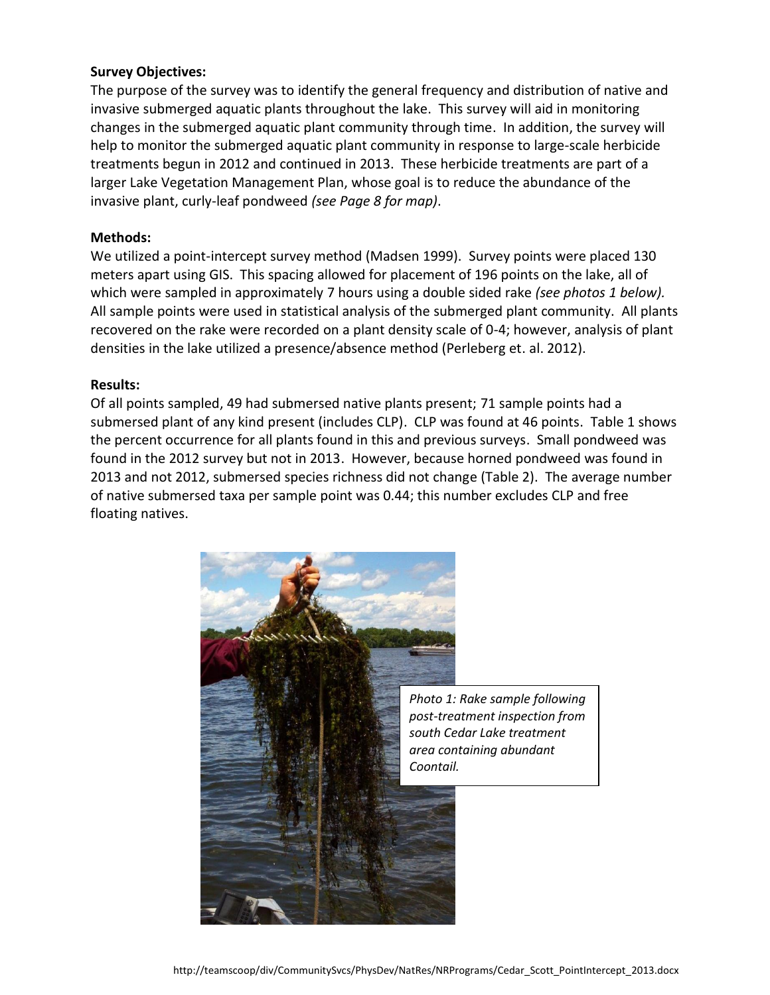## **Survey Objectives:**

The purpose of the survey was to identify the general frequency and distribution of native and invasive submerged aquatic plants throughout the lake. This survey will aid in monitoring changes in the submerged aquatic plant community through time. In addition, the survey will help to monitor the submerged aquatic plant community in response to large-scale herbicide treatments begun in 2012 and continued in 2013. These herbicide treatments are part of a larger Lake Vegetation Management Plan, whose goal is to reduce the abundance of the invasive plant, curly-leaf pondweed *(see Page 8 for map)*.

#### **Methods:**

We utilized a point-intercept survey method (Madsen 1999). Survey points were placed 130 meters apart using GIS. This spacing allowed for placement of 196 points on the lake, all of which were sampled in approximately 7 hours using a double sided rake *(see photos 1 below).* All sample points were used in statistical analysis of the submerged plant community. All plants recovered on the rake were recorded on a plant density scale of 0-4; however, analysis of plant densities in the lake utilized a presence/absence method (Perleberg et. al. 2012).

#### **Results:**

Of all points sampled, 49 had submersed native plants present; 71 sample points had a submersed plant of any kind present (includes CLP). CLP was found at 46 points. Table 1 shows the percent occurrence for all plants found in this and previous surveys. Small pondweed was found in the 2012 survey but not in 2013. However, because horned pondweed was found in 2013 and not 2012, submersed species richness did not change (Table 2). The average number of native submersed taxa per sample point was 0.44; this number excludes CLP and free floating natives.

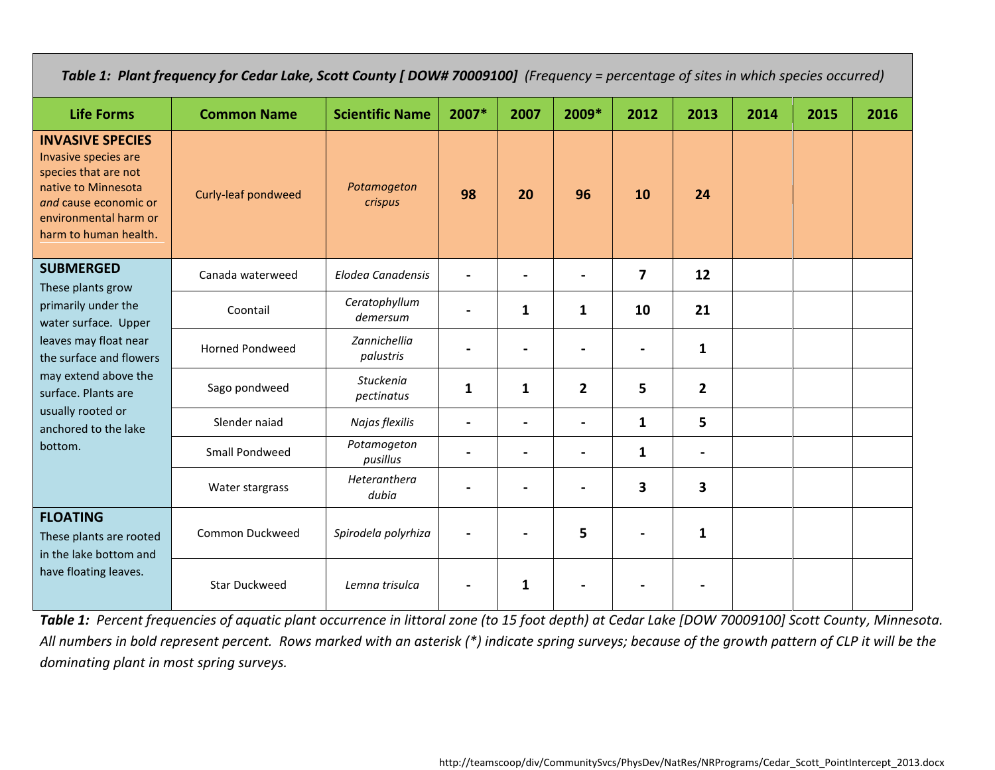*Table 1: Plant frequency for Cedar Lake, Scott County [ DOW# 70009100] (Frequency = percentage of sites in which species occurred)*

| <b>Life Forms</b>                                                                                                                                                         | <b>Common Name</b>     | <b>Scientific Name</b>         | 2007*        | 2007 | 2009*          | 2012                    | 2013           | 2014 | 2015 | 2016 |
|---------------------------------------------------------------------------------------------------------------------------------------------------------------------------|------------------------|--------------------------------|--------------|------|----------------|-------------------------|----------------|------|------|------|
| <b>INVASIVE SPECIES</b><br>Invasive species are<br>species that are not<br>native to Minnesota<br>and cause economic or<br>environmental harm or<br>harm to human health. | Curly-leaf pondweed    | Potamogeton<br>crispus         | 98           | 20   | 96             | 10                      | 24             |      |      |      |
| <b>SUBMERGED</b><br>These plants grow<br>primarily under the<br>water surface. Upper                                                                                      | Canada waterweed       | <b>Elodea Canadensis</b>       |              |      |                | $\overline{\mathbf{z}}$ | 12             |      |      |      |
|                                                                                                                                                                           | Coontail               | Ceratophyllum<br>demersum      |              | 1    | 1              | 10                      | 21             |      |      |      |
| leaves may float near<br>the surface and flowers                                                                                                                          | <b>Horned Pondweed</b> | Zannichellia<br>palustris      |              |      |                |                         | $\mathbf{1}$   |      |      |      |
| may extend above the<br>surface. Plants are                                                                                                                               | Sago pondweed          | <b>Stuckenia</b><br>pectinatus | $\mathbf{1}$ | 1    | $\overline{2}$ | 5                       | $\overline{2}$ |      |      |      |
| usually rooted or<br>anchored to the lake                                                                                                                                 | Slender naiad          | Najas flexilis                 |              |      |                | $\mathbf{1}$            | 5              |      |      |      |
| bottom.                                                                                                                                                                   | Small Pondweed         | Potamogeton<br>pusillus        |              |      |                | $\mathbf{1}$            | $\blacksquare$ |      |      |      |
|                                                                                                                                                                           | Water stargrass        | Heteranthera<br>dubia          |              |      |                | 3                       | 3              |      |      |      |
| <b>FLOATING</b><br>These plants are rooted<br>in the lake bottom and                                                                                                      | Common Duckweed        | Spirodela polyrhiza            |              |      | 5              |                         | $\mathbf{1}$   |      |      |      |
| have floating leaves.                                                                                                                                                     | <b>Star Duckweed</b>   | Lemna trisulca                 |              | 1    |                |                         |                |      |      |      |

*Table 1: Percent frequencies of aquatic plant occurrence in littoral zone (to 15 foot depth) at Cedar Lake [DOW 70009100] Scott County, Minnesota. All numbers in bold represent percent. Rows marked with an asterisk (\*) indicate spring surveys; because of the growth pattern of CLP it will be the dominating plant in most spring surveys.*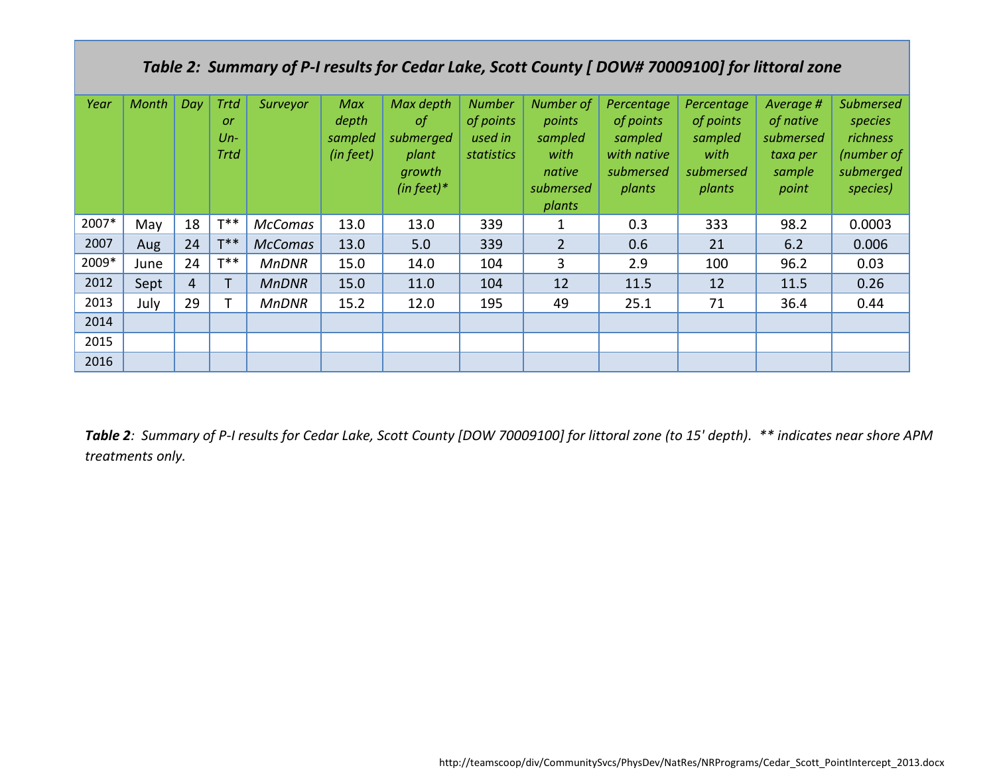# *Table 2: Summary of P-I results for Cedar Lake, Scott County [ DOW# 70009100] for littoral zone*

| Year  | Month | Day            | <b>Trtd</b><br>or<br>$Un-$<br><b>Trtd</b> | Surveyor       | Max<br>depth<br>sampled<br>(in feet) | Max depth<br>$\circ f$<br>submerged<br>plant<br>growth<br>(in feet) $*$ | <b>Number</b><br>of points<br>used in<br>statistics | Number of<br>points<br>sampled<br>with<br>native<br>submersed<br>plants | Percentage<br>of points<br>sampled<br>with native<br>submersed<br>plants | Percentage<br>of points<br>sampled<br>with<br>submersed<br>plants | Average #<br>of native<br>submersed<br>taxa per<br>sample<br>point | <b>Submersed</b><br>species<br><b>richness</b><br>(number of<br>submerged<br>species) |
|-------|-------|----------------|-------------------------------------------|----------------|--------------------------------------|-------------------------------------------------------------------------|-----------------------------------------------------|-------------------------------------------------------------------------|--------------------------------------------------------------------------|-------------------------------------------------------------------|--------------------------------------------------------------------|---------------------------------------------------------------------------------------|
| 2007* | May   | 18             | $T^{**}$                                  | <b>McComas</b> | 13.0                                 | 13.0                                                                    | 339                                                 | 1                                                                       | 0.3                                                                      | 333                                                               | 98.2                                                               | 0.0003                                                                                |
| 2007  | Aug   | 24             | $T^*$                                     | <b>McComas</b> | 13.0                                 | 5.0                                                                     | 339                                                 | $\overline{2}$                                                          | 0.6                                                                      | 21                                                                | 6.2                                                                | 0.006                                                                                 |
| 2009* | June  | 24             | $T^*$                                     | <b>MnDNR</b>   | 15.0                                 | 14.0                                                                    | 104                                                 | 3                                                                       | 2.9                                                                      | 100                                                               | 96.2                                                               | 0.03                                                                                  |
| 2012  | Sept  | $\overline{4}$ |                                           | <b>MnDNR</b>   | 15.0                                 | 11.0                                                                    | 104                                                 | 12                                                                      | 11.5                                                                     | 12                                                                | 11.5                                                               | 0.26                                                                                  |
| 2013  | July  | 29             |                                           | <b>MnDNR</b>   | 15.2                                 | 12.0                                                                    | 195                                                 | 49                                                                      | 25.1                                                                     | 71                                                                | 36.4                                                               | 0.44                                                                                  |
| 2014  |       |                |                                           |                |                                      |                                                                         |                                                     |                                                                         |                                                                          |                                                                   |                                                                    |                                                                                       |
| 2015  |       |                |                                           |                |                                      |                                                                         |                                                     |                                                                         |                                                                          |                                                                   |                                                                    |                                                                                       |
| 2016  |       |                |                                           |                |                                      |                                                                         |                                                     |                                                                         |                                                                          |                                                                   |                                                                    |                                                                                       |

*Table 2: Summary of P-I results for Cedar Lake, Scott County [DOW 70009100] for littoral zone (to 15' depth). \*\* indicates near shore APM treatments only.*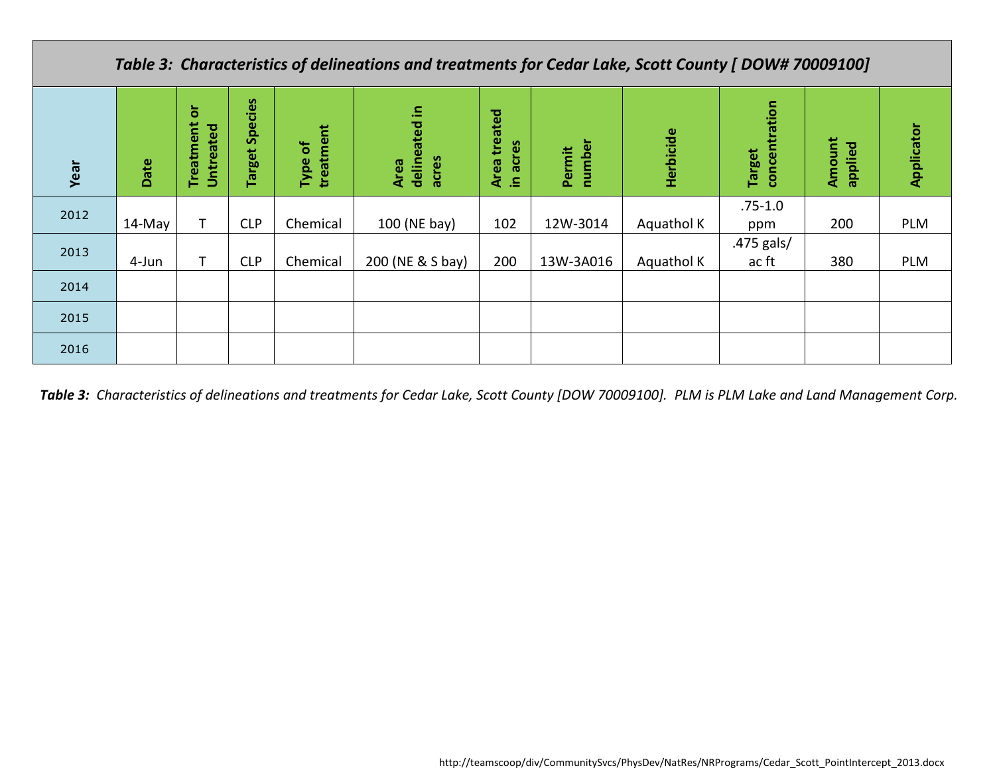## *Table 3: Characteristics of delineations and treatments for Cedar Lake, Scott County [ DOW# 70009100]*

| Year | Date   | ŏ<br>Treatment<br>Untreated | <b>Species</b><br>Target | treatment<br>Type of | delineated in<br>acres<br>Area | treated<br>acres<br><b>Area</b><br>.르. | number<br>Permit | Herbicide  | concentration<br><b>Target</b> | Amount<br>applied | Applicator |
|------|--------|-----------------------------|--------------------------|----------------------|--------------------------------|----------------------------------------|------------------|------------|--------------------------------|-------------------|------------|
| 2012 | 14-May |                             | <b>CLP</b>               | Chemical             | 100 (NE bay)                   | 102                                    | 12W-3014         | Aquathol K | $.75 - 1.0$<br>ppm             | 200               | PLM        |
| 2013 | 4-Jun  |                             | <b>CLP</b>               | Chemical             | 200 (NE & S bay)               | 200                                    | 13W-3A016        | Aquathol K | .475 gals/<br>ac ft            | 380               | PLM        |
| 2014 |        |                             |                          |                      |                                |                                        |                  |            |                                |                   |            |
| 2015 |        |                             |                          |                      |                                |                                        |                  |            |                                |                   |            |
| 2016 |        |                             |                          |                      |                                |                                        |                  |            |                                |                   |            |

*Table 3: Characteristics of delineations and treatments for Cedar Lake, Scott County [DOW 70009100]. PLM is PLM Lake and Land Management Corp.*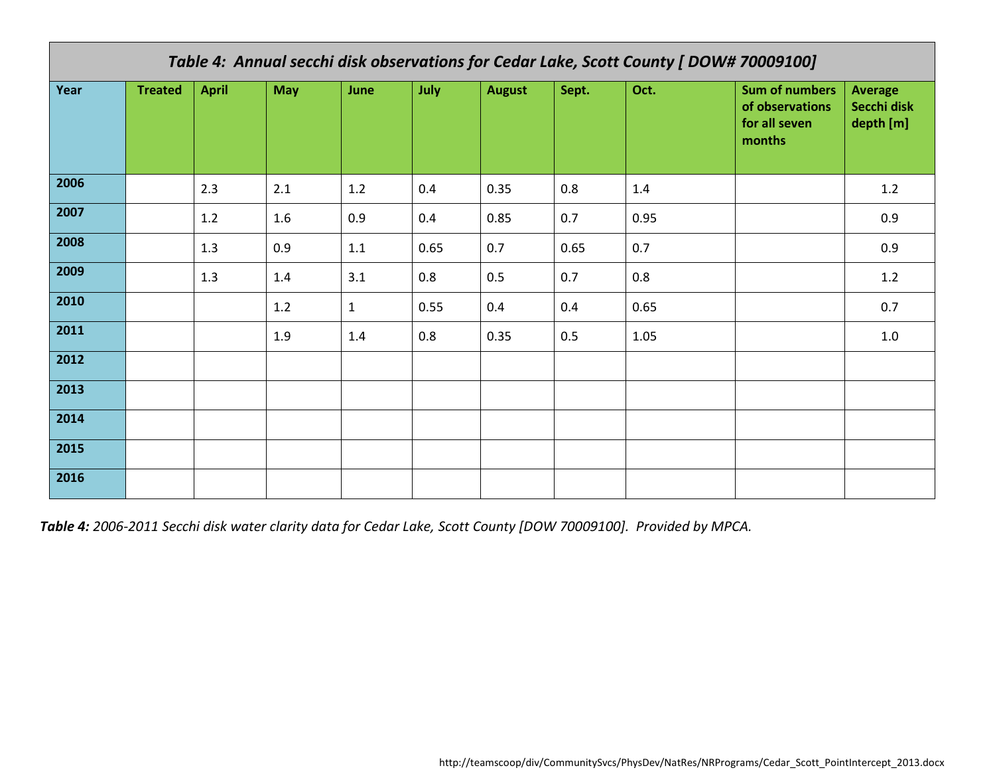| Table 4: Annual secchi disk observations for Cedar Lake, Scott County [ DOW# 70009100] |                |              |            |      |      |               |       |      |                                                                     |                                            |  |
|----------------------------------------------------------------------------------------|----------------|--------------|------------|------|------|---------------|-------|------|---------------------------------------------------------------------|--------------------------------------------|--|
| Year                                                                                   | <b>Treated</b> | <b>April</b> | <b>May</b> | June | July | <b>August</b> | Sept. | Oct. | <b>Sum of numbers</b><br>of observations<br>for all seven<br>months | <b>Average</b><br>Secchi disk<br>depth [m] |  |
| 2006                                                                                   |                | 2.3          | 2.1        | 1.2  | 0.4  | 0.35          | 0.8   | 1.4  |                                                                     | 1.2                                        |  |
| 2007                                                                                   |                | $1.2\,$      | 1.6        | 0.9  | 0.4  | 0.85          | 0.7   | 0.95 |                                                                     | 0.9                                        |  |
| 2008                                                                                   |                | 1.3          | 0.9        | 1.1  | 0.65 | 0.7           | 0.65  | 0.7  |                                                                     | 0.9                                        |  |
| 2009                                                                                   |                | 1.3          | 1.4        | 3.1  | 0.8  | 0.5           | 0.7   | 0.8  |                                                                     | 1.2                                        |  |
| 2010                                                                                   |                |              | 1.2        | 1    | 0.55 | 0.4           | 0.4   | 0.65 |                                                                     | 0.7                                        |  |
| 2011                                                                                   |                |              | 1.9        | 1.4  | 0.8  | 0.35          | 0.5   | 1.05 |                                                                     | 1.0                                        |  |
| 2012                                                                                   |                |              |            |      |      |               |       |      |                                                                     |                                            |  |
| 2013                                                                                   |                |              |            |      |      |               |       |      |                                                                     |                                            |  |
| 2014                                                                                   |                |              |            |      |      |               |       |      |                                                                     |                                            |  |
| 2015                                                                                   |                |              |            |      |      |               |       |      |                                                                     |                                            |  |
| 2016                                                                                   |                |              |            |      |      |               |       |      |                                                                     |                                            |  |

*Table 4: 2006-2011 Secchi disk water clarity data for Cedar Lake, Scott County [DOW 70009100]. Provided by MPCA.*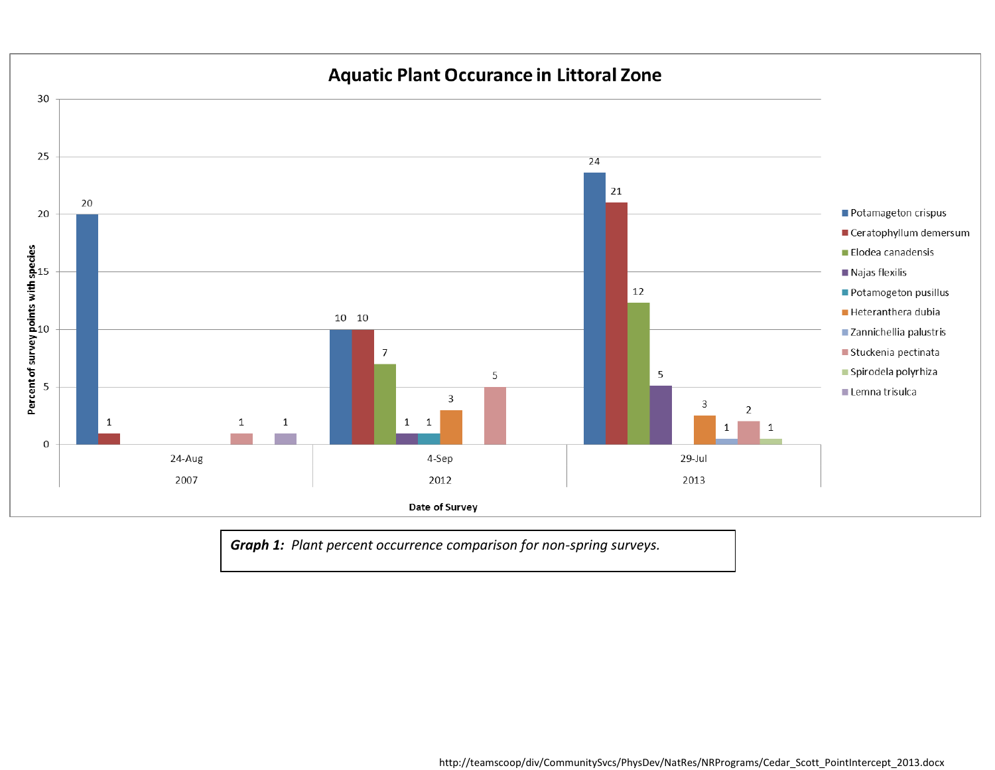

*Graph 1: Plant percent occurrence comparison for non-spring surveys.*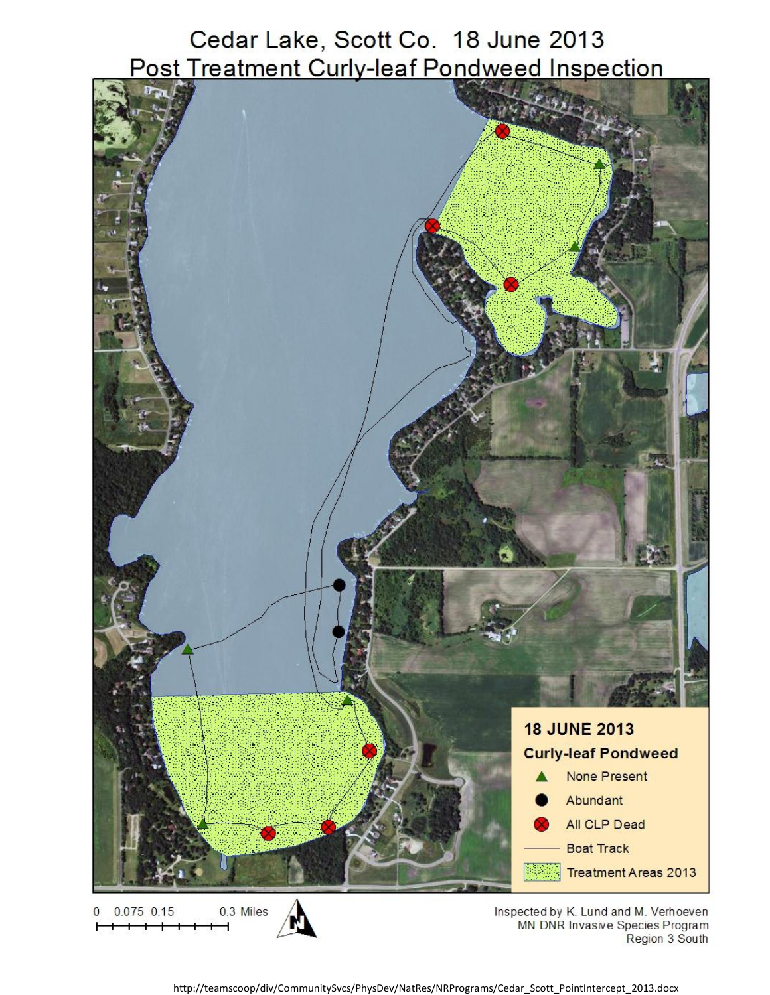Cedar Lake, Scott Co. 18 June 2013 Post Treatment Curly-leaf Pondweed Inspection



 $0$  0.075 0.15 0.3 Miles Inspected by K. Lund and M. Verhoeven MN DNR Invasive Species Program Region 3 South